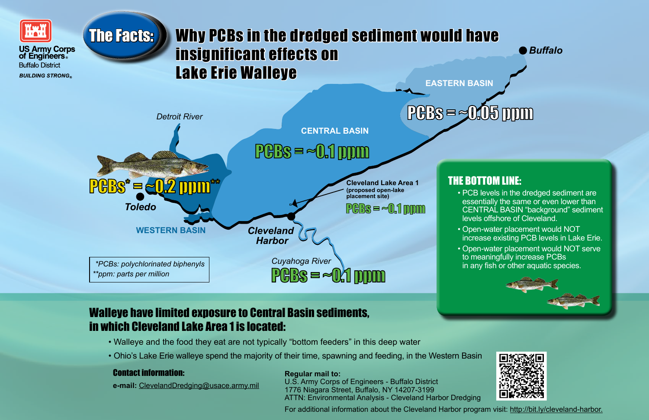

#### **US Army Corps** of Engineers. **Buffalo District BUILDING STRONG**

*Buffalo*



## Walleye have limited exposure to Central Basin sediments, in which Cleveland Lake Area 1 is located:

- Walleye and the food they eat are not typically "bottom feeders" in this deep water
- Ohio's Lake Erie walleye spend the majority of their time, spawning and feeding, in the Western Basin

## THE BOTTOM LINE:

• PCB levels in the dredged sediment are essentially the same or even lower than CENTRAL BASIN "background" sediment levels offshore of Cleveland.

# **EASTERN BASIN** The Facts: Why PCBs in the dredged sediment would have insignificant effects on Lake Erie Walleye

• Open-water placement would NOT increase existing PCB levels in Lake Erie.

• Open-water placement would NOT serve to meaningfully increase PCBs in any fish or other aquatic species.





### **Regular mail to:**

U.S. Army Corps of Engineers - Buffalo District 1776 Niagara Street, Buffalo, NY 14207-3199 ATTN: Environmental Analysis - Cleveland Harbor Dredging

For additional information about the Cleveland Harbor program visit: http://bit.ly/cleveland-harbor.



### Contact information:

**e-mail:** ClevelandDredging@usace.army.mil